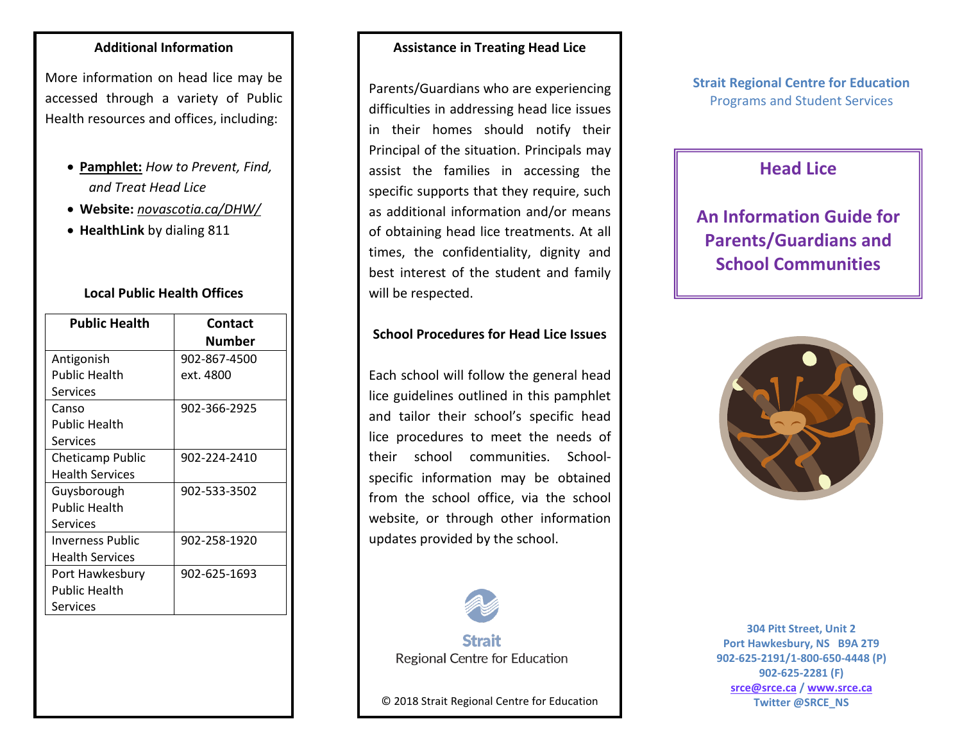### **Additional Information**

More information on head lice may be accessed through a variety of Public Health resources and offices, including:

- **Pamphlet:** *How to Prevent, Find, and Treat Head Lice*
- **Website:** *novascotia.ca/DHW/*
- **HealthLink** by dialing 811

### **Local Public Health Offices**

| <b>Public Health</b>   | Contact      |
|------------------------|--------------|
|                        | Number       |
| Antigonish             | 902-867-4500 |
| <b>Public Health</b>   | ext. 4800    |
| Services               |              |
| Canso                  | 902-366-2925 |
| <b>Public Health</b>   |              |
| Services               |              |
| Cheticamp Public       | 902-224-2410 |
| <b>Health Services</b> |              |
| Guysborough            | 902-533-3502 |
| <b>Public Health</b>   |              |
| Services               |              |
| Inverness Public       | 902-258-1920 |
| <b>Health Services</b> |              |
| Port Hawkesbury        | 902-625-1693 |
| Public Health          |              |
| Services               |              |

### **Assistance in Treating Head Lice**

Parents/Guardians who are experiencing difficulties in addressing head lice issues in their homes should notify their Principal of the situation. Principals may assist the families in accessing the specific supports that they require, such as additional information and/or means of obtaining head lice treatments. At all times, the confidentiality, dignity and best interest of the student and family will be respected.

#### **School Procedures for Head Lice Issues**

Each school will follow the general head lice guidelines outlined in this pamphlet and tailor their school's specific head lice procedures to meet the needs of their school communities. Schoolspecific information may be obtained from the school office, via the school website, or through other information updates provided by the school.



**Strait** Regional Centre for Education

© 2018 Strait Regional Centre for Education

**Strait Regional Centre for Education** Programs and Student Services

# **Head Lice**

# **An Information Guide for Parents/Guardians and School Communities**



**304 Pitt Street, Unit 2 Port Hawkesbury, NS B9A 2T9 902-625-2191/1-800-650-4448 (P) 902-625-2281 (F) [srce@srce.ca](mailto:srce@srce.ca) [/ www.srce.ca](http://www.srce.ca/) Twitter @SRCE\_NS**